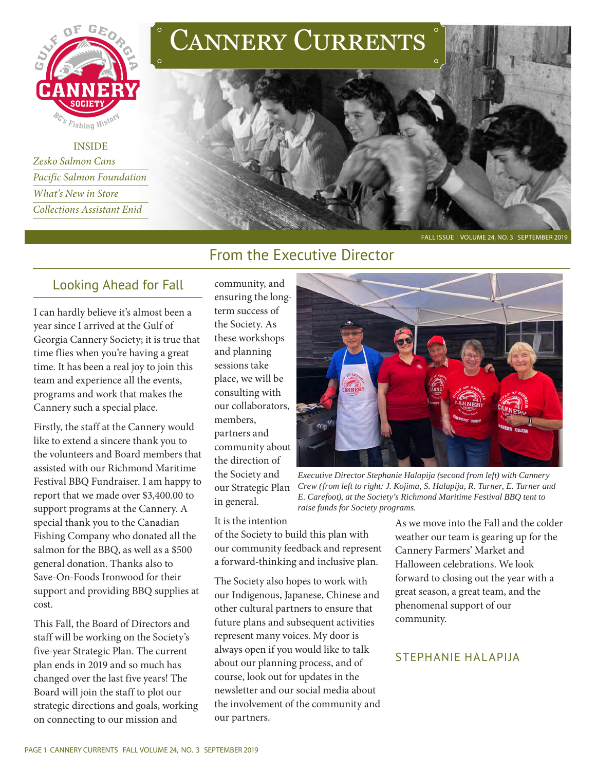

INSIDE *Zesko Salmon Cans Pacific Salmon Foundation What's New in Store Collections Assistant Enid*





#### FALL ISSUE | VOLUME 24, NO. 3 SEPTEMBER 2019

## From the Executive Director

## Looking Ahead for Fall

I can hardly believe it's almost been a year since I arrived at the Gulf of Georgia Cannery Society; it is true that time flies when you're having a great time. It has been a real joy to join this team and experience all the events, programs and work that makes the Cannery such a special place.

Firstly, the staff at the Cannery would like to extend a sincere thank you to the volunteers and Board members that assisted with our Richmond Maritime Festival BBQ Fundraiser. I am happy to report that we made over \$3,400.00 to support programs at the Cannery. A special thank you to the Canadian Fishing Company who donated all the salmon for the BBQ, as well as a \$500 general donation. Thanks also to Save-On-Foods Ironwood for their support and providing BBQ supplies at cost.

This Fall, the Board of Directors and staff will be working on the Society's five-year Strategic Plan. The current plan ends in 2019 and so much has changed over the last five years! The Board will join the staff to plot our strategic directions and goals, working on connecting to our mission and

community, and ensuring the longterm success of the Society. As these workshops and planning sessions take place, we will be consulting with our collaborators, members, partners and community about the direction of the Society and our Strategic Plan in general.

It is the intention

of the Society to build this plan with our community feedback and represent a forward-thinking and inclusive plan.

The Society also hopes to work with our Indigenous, Japanese, Chinese and other cultural partners to ensure that future plans and subsequent activities represent many voices. My door is always open if you would like to talk about our planning process, and of course, look out for updates in the newsletter and our social media about the involvement of the community and our partners.



*Executive Director Stephanie Halapija (second from left) with Cannery Crew (from left to right: J. Kojima, S. Halapija, R. Turner, E. Turner and E. Carefoot), at the Society's Richmond Maritime Festival BBQ tent to raise funds for Society programs.* 

As we move into the Fall and the colder weather our team is gearing up for the Cannery Farmers' Market and Halloween celebrations. We look forward to closing out the year with a great season, a great team, and the phenomenal support of our community.

#### STEPHANIE HALAPIJA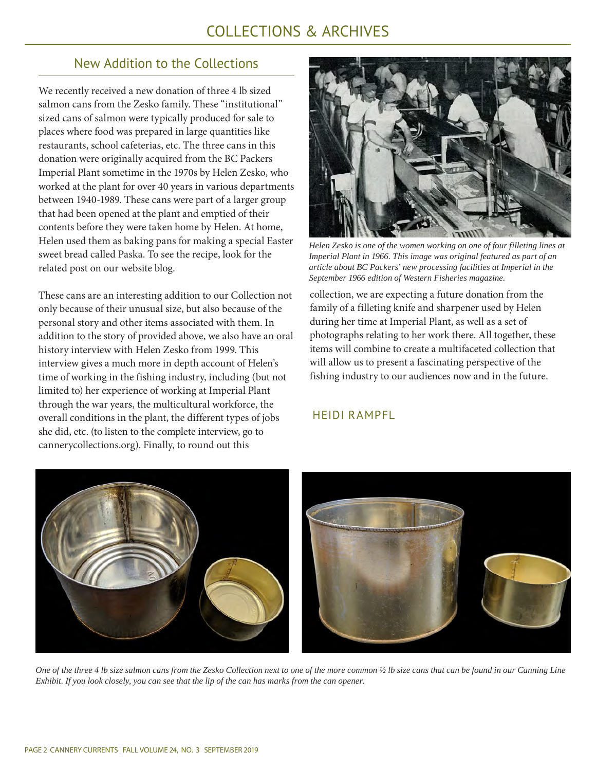## COLLECTIONS & ARCHIVES

## New Addition to the Collections

We recently received a new donation of three 4 lb sized salmon cans from the Zesko family. These "institutional" sized cans of salmon were typically produced for sale to places where food was prepared in large quantities like restaurants, school cafeterias, etc. The three cans in this donation were originally acquired from the BC Packers Imperial Plant sometime in the 1970s by Helen Zesko, who worked at the plant for over 40 years in various departments between 1940-1989. These cans were part of a larger group that had been opened at the plant and emptied of their contents before they were taken home by Helen. At home, Helen used them as baking pans for making a special Easter sweet bread called Paska. To see the recipe, look for the related post on our website blog.

These cans are an interesting addition to our Collection not only because of their unusual size, but also because of the personal story and other items associated with them. In addition to the story of provided above, we also have an oral history interview with Helen Zesko from 1999. This interview gives a much more in depth account of Helen's time of working in the fishing industry, including (but not limited to) her experience of working at Imperial Plant through the war years, the multicultural workforce, the overall conditions in the plant, the different types of jobs she did, etc. (to listen to the complete interview, go to cannerycollections.org). Finally, to round out this



*Helen Zesko is one of the women working on one of four filleting lines at Imperial Plant in 1966. This image was original featured as part of an article about BC Packers' new processing facilities at Imperial in the September 1966 edition of Western Fisheries magazine.*

collection, we are expecting a future donation from the family of a filleting knife and sharpener used by Helen during her time at Imperial Plant, as well as a set of photographs relating to her work there. All together, these items will combine to create a multifaceted collection that will allow us to present a fascinating perspective of the fishing industry to our audiences now and in the future.

#### HEIDI RAMPFL



*One of the three 4 lb size salmon cans from the Zesko Collection next to one of the more common ½ lb size cans that can be found in our Canning Line Exhibit. If you look closely, you can see that the lip of the can has marks from the can opener.*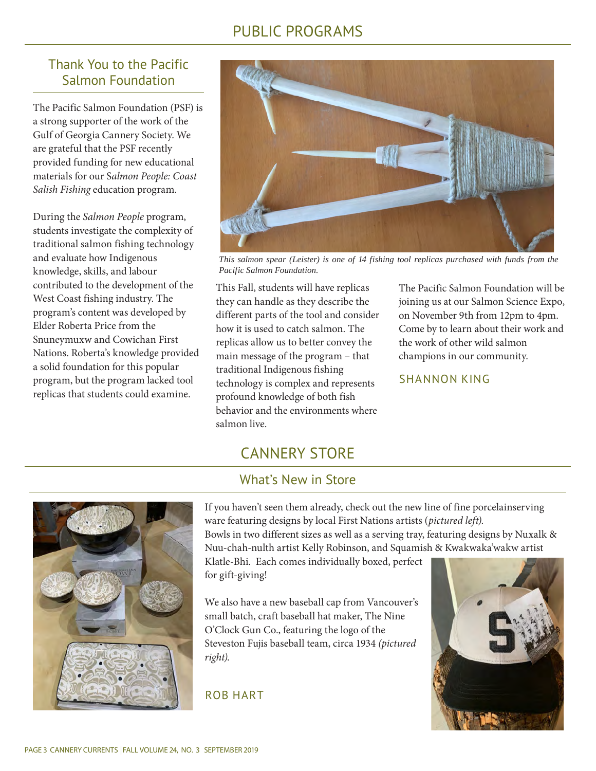## PUBLIC PROGRAMS

## Thank You to the Pacific Salmon Foundation

The Pacific Salmon Foundation (PSF) is a strong supporter of the work of the Gulf of Georgia Cannery Society. We are grateful that the PSF recently provided funding for new educational materials for our S*almon People: Coast Salish Fishing* education program.

During the *Salmon People* program, students investigate the complexity of traditional salmon fishing technology and evaluate how Indigenous knowledge, skills, and labour contributed to the development of the West Coast fishing industry. The program's content was developed by Elder Roberta Price from the Snuneymuxw and Cowichan First Nations. Roberta's knowledge provided a solid foundation for this popular program, but the program lacked tool replicas that students could examine.



*This salmon spear (Leister) is one of 14 fishing tool replicas purchased with funds from the Pacific Salmon Foundation.* 

This Fall, students will have replicas they can handle as they describe the different parts of the tool and consider how it is used to catch salmon. The replicas allow us to better convey the main message of the program – that traditional Indigenous fishing technology is complex and represents profound knowledge of both fish behavior and the environments where salmon live.

The Pacific Salmon Foundation will be joining us at our Salmon Science Expo, on November 9th from 12pm to 4pm. Come by to learn about their work and the work of other wild salmon champions in our community.

#### SHANNON KING

# CANNERY STORE

## What's New in Store



If you haven't seen them already, check out the new line of fine porcelainserving ware featuring designs by local First Nations artists (*pictured left)*.

Bowls in two different sizes as well as a serving tray, featuring designs by Nuxalk & Nuu-chah-nulth artist Kelly Robinson, and Squamish & Kwakwaka'wakw artist

Klatle-Bhi. Each comes individually boxed, perfect for gift-giving!

We also have a new baseball cap from Vancouver's small batch, craft baseball hat maker, The Nine O'Clock Gun Co., featuring the logo of the Steveston Fujis baseball team, circa 1934 *(pictured right).*

#### ROB HART